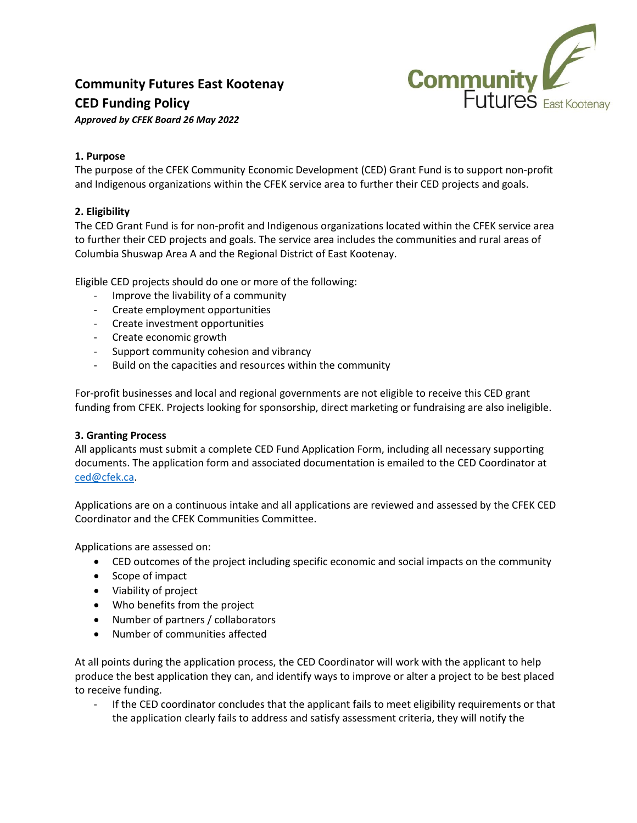

# **Community Futures East Kootenay CED Funding Policy**

*Approved by CFEK Board 26 May 2022*

## **1. Purpose**

The purpose of the CFEK Community Economic Development (CED) Grant Fund is to support non-profit and Indigenous organizations within the CFEK service area to further their CED projects and goals.

# **2. Eligibility**

The CED Grant Fund is for non-profit and Indigenous organizations located within the CFEK service area to further their CED projects and goals. The service area includes the communities and rural areas of Columbia Shuswap Area A and the Regional District of East Kootenay.

Eligible CED projects should do one or more of the following:

- Improve the livability of a community
- Create employment opportunities
- Create investment opportunities
- Create economic growth
- Support community cohesion and vibrancy
- Build on the capacities and resources within the community

For-profit businesses and local and regional governments are not eligible to receive this CED grant funding from CFEK. Projects looking for sponsorship, direct marketing or fundraising are also ineligible.

### **3. Granting Process**

All applicants must submit a complete CED Fund Application Form, including all necessary supporting documents. The application form and associated documentation is emailed to the CED Coordinator at [ced@cfek.ca.](mailto:ced@cfek.ca)

Applications are on a continuous intake and all applications are reviewed and assessed by the CFEK CED Coordinator and the CFEK Communities Committee.

Applications are assessed on:

- CED outcomes of the project including specific economic and social impacts on the community
- Scope of impact
- Viability of project
- Who benefits from the project
- Number of partners / collaborators
- Number of communities affected

At all points during the application process, the CED Coordinator will work with the applicant to help produce the best application they can, and identify ways to improve or alter a project to be best placed to receive funding.

If the CED coordinator concludes that the applicant fails to meet eligibility requirements or that the application clearly fails to address and satisfy assessment criteria, they will notify the